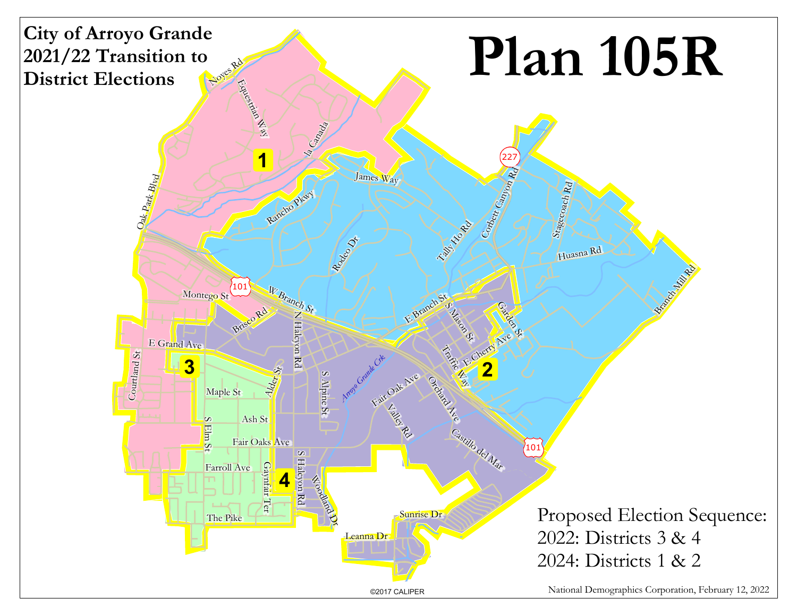